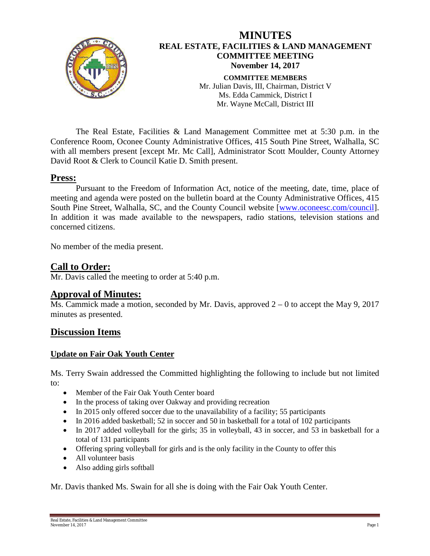

The Real Estate, Facilities & Land Management Committee met at 5:30 p.m. in the Conference Room, Oconee County Administrative Offices, 415 South Pine Street, Walhalla, SC with all members present [except Mr. Mc Call], Administrator Scott Moulder, County Attorney David Root & Clerk to Council Katie D. Smith present.

### **Press:**

Pursuant to the Freedom of Information Act, notice of the meeting, date, time, place of meeting and agenda were posted on the bulletin board at the County Administrative Offices, 415 South Pine Street, Walhalla, SC, and the County Council website [\[www.oconeesc.com/council\]](http://www.oconeesc.com/council). In addition it was made available to the newspapers, radio stations, television stations and concerned citizens.

No member of the media present.

## **Call to Order:**

Mr. Davis called the meeting to order at 5:40 p.m.

## **Approval of Minutes:**

Ms. Cammick made a motion, seconded by Mr. Davis, approved  $2 - 0$  to accept the May 9, 2017 minutes as presented.

## **Discussion Items**

#### **Update on Fair Oak Youth Center**

Ms. Terry Swain addressed the Committed highlighting the following to include but not limited to:

- Member of the Fair Oak Youth Center board
- In the process of taking over Oakway and providing recreation
- In 2015 only offered soccer due to the unavailability of a facility; 55 participants
- In 2016 added basketball; 52 in soccer and 50 in basketball for a total of 102 participants
- In 2017 added volleyball for the girls; 35 in volleyball, 43 in soccer, and 53 in basketball for a total of 131 participants
- Offering spring volleyball for girls and is the only facility in the County to offer this
- All volunteer basis
- Also adding girls softball

Mr. Davis thanked Ms. Swain for all she is doing with the Fair Oak Youth Center.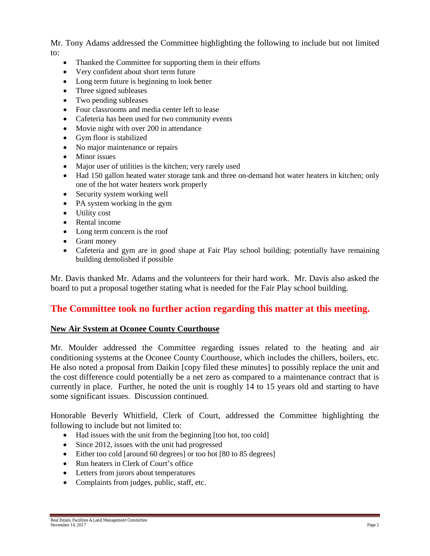Mr. Tony Adams addressed the Committee highlighting the following to include but not limited to:

- Thanked the Committee for supporting them in their efforts
- Very confident about short term future
- Long term future is beginning to look better
- Three signed subleases
- Two pending subleases
- Four classrooms and media center left to lease
- Cafeteria has been used for two community events
- Movie night with over 200 in attendance
- Gym floor is stabilized
- No major maintenance or repairs
- Minor issues
- Major user of utilities is the kitchen; very rarely used
- Had 150 gallon heated water storage tank and three on-demand hot water heaters in kitchen; only one of the hot water heaters work properly
- Security system working well
- PA system working in the gym
- Utility cost
- Rental income
- Long term concern is the roof
- Grant money
- Cafeteria and gym are in good shape at Fair Play school building; potentially have remaining building demolished if possible

Mr. Davis thanked Mr. Adams and the volunteers for their hard work. Mr. Davis also asked the board to put a proposal together stating what is needed for the Fair Play school building.

# **The Committee took no further action regarding this matter at this meeting.**

#### **New Air System at Oconee County Courthouse**

Mr. Moulder addressed the Committee regarding issues related to the heating and air conditioning systems at the Oconee County Courthouse, which includes the chillers, boilers, etc. He also noted a proposal from Daikin [copy filed these minutes] to possibly replace the unit and the cost difference could potentially be a net zero as compared to a maintenance contract that is currently in place. Further, he noted the unit is roughly 14 to 15 years old and starting to have some significant issues. Discussion continued.

Honorable Beverly Whitfield, Clerk of Court, addressed the Committee highlighting the following to include but not limited to:

- Had issues with the unit from the beginning [too hot, too cold]
- Since 2012, issues with the unit had progressed
- Either too cold [around 60 degrees] or too hot [80 to 85 degrees]
- Run heaters in Clerk of Court's office
- Letters from jurors about temperatures
- Complaints from judges, public, staff, etc.